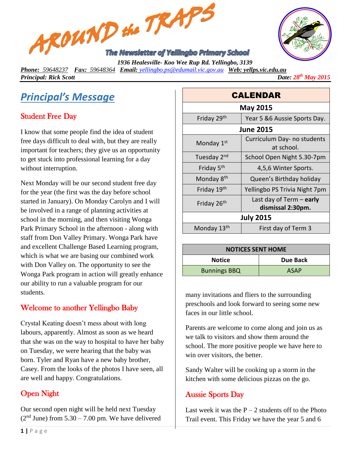



*Phone: 59648237 Fax: 59648364 Email: [yellingbo.ps@edumail.vic.gov.au](mailto:yellingbo.ps@edumail.vic.gov.au) Web: yellps.vic.edu.au*

*Principal: Rick Scott* 

*Date:*  $28^{th}$  *May* 2015

# *Principal's Message*

# Student Free Day

I know that some people find the idea of student free days difficult to deal with, but they are really important for teachers; they give us an opportunity to get stuck into professional learning for a day without interruption.

Next Monday will be our second student free day for the year (the first was the day before school started in January). On Monday Carolyn and I will be involved in a range of planning activities at school in the morning, and then visiting Wonga Park Primary School in the afternoon - along with staff from Don Valley Primary. Wonga Park have and excellent Challenge Based Learning program, which is what we are basing our combined work with Don Valley on. The opportunity to see the Wonga Park program in action will greatly enhance our ability to run a valuable program for our students.

## Welcome to another Yellingbo Baby

Crystal Keating doesn't mess about with long labours, apparently. Almost as soon as we heard that she was on the way to hospital to have her baby on Tuesday, we were hearing that the baby was born. Tyler and Ryan have a new baby brother, Casey. From the looks of the photos I have seen, all are well and happy. Congratulations.

## Open Night

Our second open night will be held next Tuesday  $(2<sup>nd</sup> June)$  from  $5.30 - 7.00$  pm. We have delivered

| <b>CALENDAR</b>         |                                                 |  |
|-------------------------|-------------------------------------------------|--|
| <b>May 2015</b>         |                                                 |  |
| Friday 29th             | Year 5 & 6 Aussie Sports Day.                   |  |
| <b>June 2015</b>        |                                                 |  |
| Monday 1 <sup>st</sup>  | Curriculum Day- no students<br>at school.       |  |
| Tuesday 2 <sup>nd</sup> | School Open Night 5.30-7pm                      |  |
| Friday 5 <sup>th</sup>  | 4,5,6 Winter Sports.                            |  |
| Monday 8 <sup>th</sup>  | Queen's Birthday holiday                        |  |
| Friday 19 <sup>th</sup> | Yellingbo PS Trivia Night 7pm                   |  |
| Friday 26 <sup>th</sup> | Last day of Term $-$ early<br>dismissal 2:30pm. |  |
| <b>July 2015</b>        |                                                 |  |
| Monday 13 <sup>th</sup> | First day of Term 3                             |  |

| <b>NOTICES SENT HOME</b> |             |  |
|--------------------------|-------------|--|
| <b>Notice</b>            | Due Back    |  |
| <b>Bunnings BBQ</b>      | <b>ASAP</b> |  |

many invitations and fliers to the surrounding preschools and look forward to seeing some new faces in our little school.

Parents are welcome to come along and join us as we talk to visitors and show them around the school. The more positive people we have here to win over visitors, the better.

Sandy Walter will be cooking up a storm in the kitchen with some delicious pizzas on the go.

#### Aussie Sports Day

Last week it was the  $P - 2$  students off to the Photo Trail event. This Friday we have the year 5 and 6